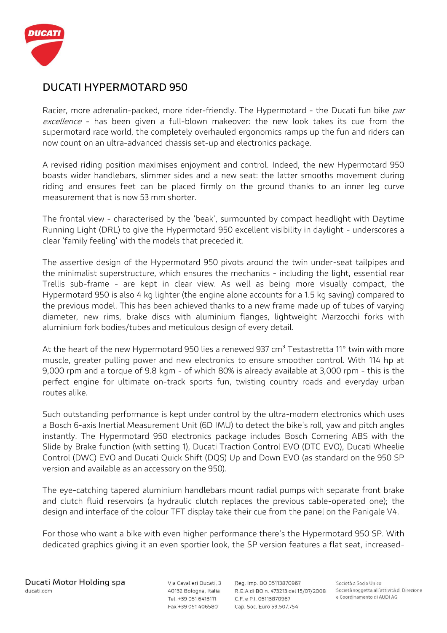

## **DUCATI HYPERMOTARD 950**

Racier, more adrenalin-packed, more rider-friendly. The Hypermotard - the Ducati fun bike par excellence - has been given a full-blown makeover: the new look takes its cue from the supermotard race world, the completely overhauled ergonomics ramps up the fun and riders can now count on an ultra-advanced chassis set-up and electronics package.

A revised riding position maximises enjoyment and control. Indeed, the new Hypermotard 950 boasts wider handlebars, slimmer sides and a new seat: the latter smooths movement during riding and ensures feet can be placed firmly on the ground thanks to an inner leg curve measurement that is now 53 mm shorter.

The frontal view - characterised by the 'beak', surmounted by compact headlight with Daytime Running Light (DRL) to give the Hypermotard 950 excellent visibility in daylight - underscores a clear 'family feeling' with the models that preceded it.

The assertive design of the Hypermotard 950 pivots around the twin under-seat tailpipes and the minimalist superstructure, which ensures the mechanics - including the light, essential rear Trellis sub-frame - are kept in clear view. As well as being more visually compact, the Hypermotard 950 is also 4 kg lighter (the engine alone accounts for a 1.5 kg saving) compared to the previous model. This has been achieved thanks to a new frame made up of tubes of varying diameter, new rims, brake discs with aluminium flanges, lightweight Marzocchi forks with aluminium fork bodies/tubes and meticulous design of every detail.

At the heart of the new Hypermotard 950 lies a renewed 937  $cm<sup>3</sup>$  Testastretta 11 $^{\circ}$  twin with more muscle, greater pulling power and new electronics to ensure smoother control. With 114 hp at 9,000 rpm and a torque of 9.8 kgm - of which 80% is already available at 3,000 rpm - this is the perfect engine for ultimate on-track sports fun, twisting country roads and everyday urban routes alike.

Such outstanding performance is kept under control by the ultra-modern electronics which uses a Bosch 6-axis Inertial Measurement Unit (6D IMU) to detect the bike's roll, yaw and pitch angles instantly. The Hypermotard 950 electronics package includes Bosch Cornering ABS with the Slide by Brake function (with setting 1), Ducati Traction Control EVO (DTC EVO), Ducati Wheelie Control (DWC) EVO and Ducati Quick Shift (DQS) Up and Down EVO (as standard on the 950 SP version and available as an accessory on the 950).

The eye-catching tapered aluminium handlebars mount radial pumps with separate front brake and clutch fluid reservoirs (a hydraulic clutch replaces the previous cable-operated one); the design and interface of the colour TFT display take their cue from the panel on the Panigale V4.

For those who want a bike with even higher performance there's the Hypermotard 950 SP. With dedicated graphics giving it an even sportier look, the SP version features a flat seat, increased-

Via Cavalieri Ducati, 3 40132 Bologna, Italia Tel. +39 051 6413111 Fax +39 051 406580

Reg. Imp. BO 05113870967 R.E.A di BO n. 473213 del 15/07/2008 C.F. e P.I. 05113870967 Cap. Soc. Euro 59.507.754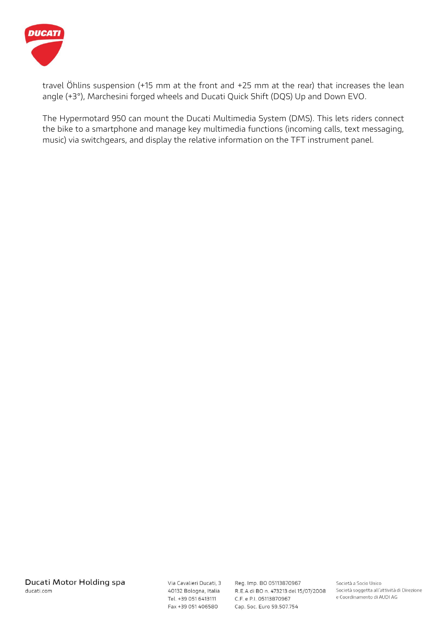

travel Öhlins suspension (+15 mm at the front and +25 mm at the rear) that increases the lean angle (+3°), Marchesini forged wheels and Ducati Quick Shift (DQS) Up and Down EVO.

The Hypermotard 950 can mount the Ducati Multimedia System (DMS). This lets riders connect the bike to a smartphone and manage key multimedia functions (incoming calls, text messaging, music) via switchgears, and display the relative information on the TFT instrument panel.

Via Cavalieri Ducati, 3 40132 Bologna, Italia Tel. +39 051 6413111 Fax +39 051 406580

Reg. Imp. BO 05113870967 R.E.A di BO n. 473213 del 15/07/2008 C.F. e P.I. 05113870967 Cap. Soc. Euro 59.507.754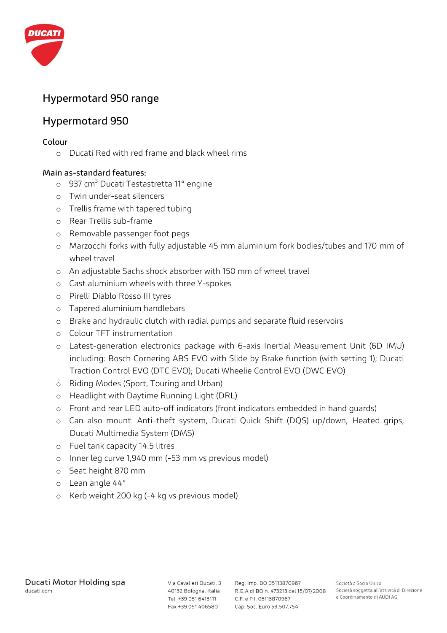

# **Hypermotard 950 range**

## **Hypermotard 950**

#### **Colour**

o Ducati Red with red frame and black wheel rims

## **Main as-standard features:**

- o 937 cm<sup>3</sup> Ducati Testastretta 11° engine
- o Twin under-seat silencers
- o Trellis frame with tapered tubing
- o Rear Trellis sub-frame
- o Removable passenger foot pegs
- o Marzocchi forks with fully adjustable 45 mm aluminium fork bodies/tubes and 170 mm of wheel travel
- o An adjustable Sachs shock absorber with 150 mm of wheel travel
- o Cast aluminium wheels with three Y-spokes
- o Pirelli Diablo Rosso III tyres
- o Tapered aluminium handlebars
- o Brake and hydraulic clutch with radial pumps and separate fluid reservoirs
- o Colour TFT instrumentation
- o Latest-generation electronics package with 6-axis Inertial Measurement Unit (6D IMU) including: Bosch Cornering ABS EVO with Slide by Brake function (with setting 1); Ducati Traction Control EVO (DTC EVO); Ducati Wheelie Control EVO (DWC EVO)
- o Riding Modes (Sport, Touring and Urban)
- o Headlight with Daytime Running Light (DRL)
- o Front and rear LED auto-off indicators (front indicators embedded in hand guards)
- o Can also mount: Anti-theft system, Ducati Quick Shift (DQS) up/down, Heated grips, Ducati Multimedia System (DMS)
- o Fuel tank capacity 14.5 litres
- o Inner leg curve 1,940 mm (-53 mm vs previous model)
- o Seat height 870 mm
- o Lean angle 44°
- o Kerb weight 200 kg (-4 kg vs previous model)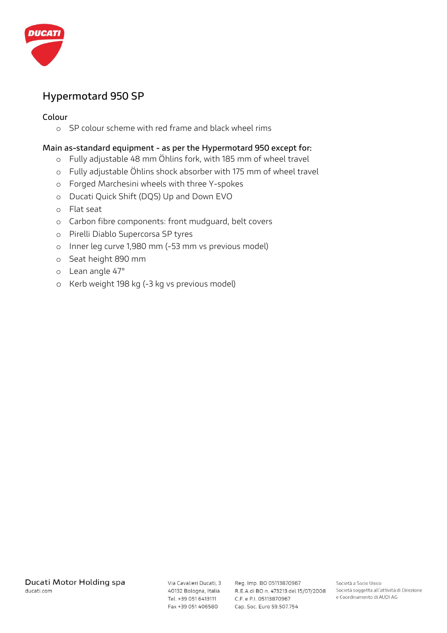

# **Hypermotard 950 SP**

### **Colour**

o SP colour scheme with red frame and black wheel rims

#### **Main as-standard equipment - as per the Hypermotard 950 except for:**

- o Fully adjustable 48 mm Öhlins fork, with 185 mm of wheel travel
- o Fully adjustable Öhlins shock absorber with 175 mm of wheel travel
- o Forged Marchesini wheels with three Y-spokes
- o Ducati Quick Shift (DQS) Up and Down EVO
- o Flat seat
- o Carbon fibre components: front mudguard, belt covers
- o Pirelli Diablo Supercorsa SP tyres
- o Inner leg curve 1,980 mm (-53 mm vs previous model)
- o Seat height 890 mm
- o Lean angle 47°
- o Kerb weight 198 kg (-3 kg vs previous model)

Tel. +39 051 6413111 Fax +39 051 406580

Via Cavalieri Ducati, 3 Reg. Imp. BO 05113870967 40132 Bologna, Italia R.E.A di BO n. 473213 del 15/07/2008 C.F. e P.I. 05113870967 Cap. Soc. Euro 59.507.754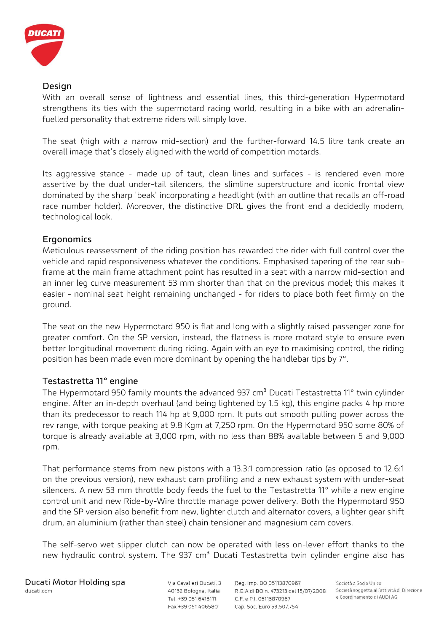

## **Design**

With an overall sense of lightness and essential lines, this third-generation Hypermotard strengthens its ties with the supermotard racing world, resulting in a bike with an adrenalinfuelled personality that extreme riders will simply love.

The seat (high with a narrow mid-section) and the further-forward 14.5 litre tank create an overall image that's closely aligned with the world of competition motards.

Its aggressive stance - made up of taut, clean lines and surfaces - is rendered even more assertive by the dual under-tail silencers, the slimline superstructure and iconic frontal view dominated by the sharp 'beak' incorporating a headlight (with an outline that recalls an off-road race number holder). Moreover, the distinctive DRL gives the front end a decidedly modern, technological look.

## **Ergonomics**

Meticulous reassessment of the riding position has rewarded the rider with full control over the vehicle and rapid responsiveness whatever the conditions. Emphasised tapering of the rear subframe at the main frame attachment point has resulted in a seat with a narrow mid-section and an inner leg curve measurement 53 mm shorter than that on the previous model; this makes it easier - nominal seat height remaining unchanged - for riders to place both feet firmly on the ground.

The seat on the new Hypermotard 950 is flat and long with a slightly raised passenger zone for greater comfort. On the SP version, instead, the flatness is more motard style to ensure even better longitudinal movement during riding. Again with an eye to maximising control, the riding position has been made even more dominant by opening the handlebar tips by 7°.

## **Testastretta 11° engine**

The Hypermotard 950 family mounts the advanced 937 cm<sup>3</sup> Ducati Testastretta 11° twin cylinder engine. After an in-depth overhaul (and being lightened by 1.5 kg), this engine packs 4 hp more than its predecessor to reach 114 hp at 9,000 rpm. It puts out smooth pulling power across the rev range, with torque peaking at 9.8 Kgm at 7,250 rpm. On the Hypermotard 950 some 80% of torque is already available at 3,000 rpm, with no less than 88% available between 5 and 9,000 rpm.

That performance stems from new pistons with a 13.3:1 compression ratio (as opposed to 12.6:1 on the previous version), new exhaust cam profiling and a new exhaust system with under-seat silencers. A new 53 mm throttle body feeds the fuel to the Testastretta 11° while a new engine control unit and new Ride-by-Wire throttle manage power delivery. Both the Hypermotard 950 and the SP version also benefit from new, lighter clutch and alternator covers, a lighter gear shift drum, an aluminium (rather than steel) chain tensioner and magnesium cam covers.

The self-servo wet slipper clutch can now be operated with less on-lever effort thanks to the new hydraulic control system. The 937 cm<sup>3</sup> Ducati Testastretta twin cylinder engine also has

Via Cavalieri Ducati, 3 40132 Bologna, Italia Tel. +39 051 6413111 Fax +39 051 406580

Reg. Imp. BO 05113870967 R.E.A di BO n. 473213 del 15/07/2008 C.F. e P.I. 05113870967 Cap. Soc. Euro 59.507.754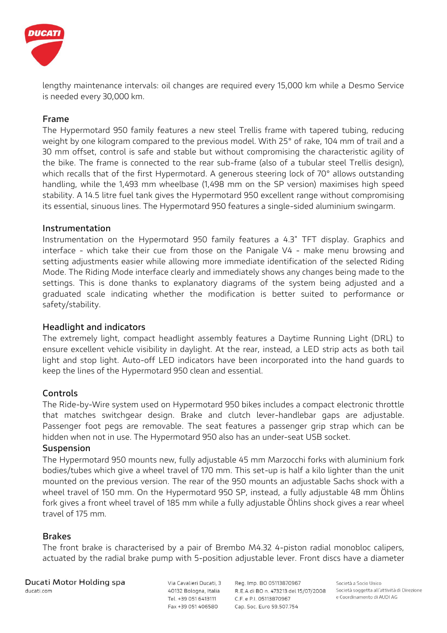

lengthy maintenance intervals: oil changes are required every 15,000 km while a Desmo Service is needed every 30,000 km.

## **Frame**

The Hypermotard 950 family features a new steel Trellis frame with tapered tubing, reducing weight by one kilogram compared to the previous model. With 25° of rake, 104 mm of trail and a 30 mm offset, control is safe and stable but without compromising the characteristic agility of the bike. The frame is connected to the rear sub-frame (also of a tubular steel Trellis design), which recalls that of the first Hypermotard. A generous steering lock of 70° allows outstanding handling, while the 1,493 mm wheelbase (1,498 mm on the SP version) maximises high speed stability. A 14.5 litre fuel tank gives the Hypermotard 950 excellent range without compromising its essential, sinuous lines. The Hypermotard 950 features a single-sided aluminium swingarm.

#### **Instrumentation**

Instrumentation on the Hypermotard 950 family features a 4.3" TFT display. Graphics and interface - which take their cue from those on the Panigale V4 - make menu browsing and setting adjustments easier while allowing more immediate identification of the selected Riding Mode. The Riding Mode interface clearly and immediately shows any changes being made to the settings. This is done thanks to explanatory diagrams of the system being adjusted and a graduated scale indicating whether the modification is better suited to performance or safety/stability.

#### **Headlight and indicators**

The extremely light, compact headlight assembly features a Daytime Running Light (DRL) to ensure excellent vehicle visibility in daylight. At the rear, instead, a LED strip acts as both tail light and stop light. Auto-off LED indicators have been incorporated into the hand guards to keep the lines of the Hypermotard 950 clean and essential.

#### **Controls**

The Ride-by-Wire system used on Hypermotard 950 bikes includes a compact electronic throttle that matches switchgear design. Brake and clutch lever-handlebar gaps are adjustable. Passenger foot pegs are removable. The seat features a passenger grip strap which can be hidden when not in use. The Hypermotard 950 also has an under-seat USB socket.

#### **Suspension**

The Hypermotard 950 mounts new, fully adjustable 45 mm Marzocchi forks with aluminium fork bodies/tubes which give a wheel travel of 170 mm. This set-up is half a kilo lighter than the unit mounted on the previous version. The rear of the 950 mounts an adjustable Sachs shock with a wheel travel of 150 mm. On the Hypermotard 950 SP, instead, a fully adjustable 48 mm Öhlins fork gives a front wheel travel of 185 mm while a fully adjustable Öhlins shock gives a rear wheel travel of 175 mm.

#### **Brakes**

The front brake is characterised by a pair of Brembo M4.32 4-piston radial monobloc calipers, actuated by the radial brake pump with 5-position adjustable lever. Front discs have a diameter

Ducati Motor Holding spa ducati.com

Via Cavalieri Ducati, 3 40132 Bologna, Italia Tel. +39 051 6413111 Fax +39 051 406580

Reg. Imp. BO 05113870967 R.E.A di BO n. 473213 del 15/07/2008 C.F. e P.I. 05113870967 Cap. Soc. Euro 59.507.754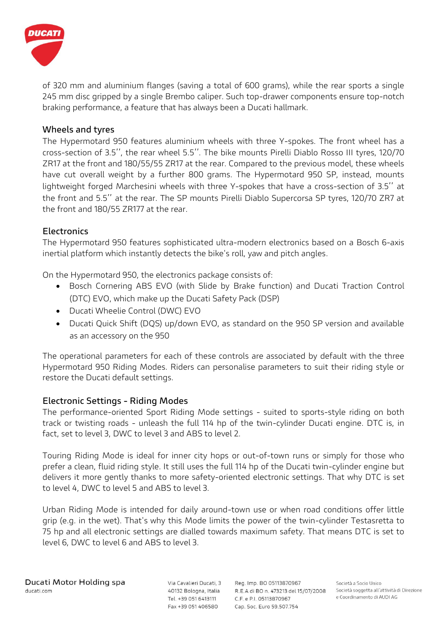

of 320 mm and aluminium flanges (saving a total of 600 grams), while the rear sports a single 245 mm disc gripped by a single Brembo caliper. Such top-drawer components ensure top-notch braking performance, a feature that has always been a Ducati hallmark.

### **Wheels and tyres**

The Hypermotard 950 features aluminium wheels with three Y-spokes. The front wheel has a cross-section of 3.5'', the rear wheel 5.5''. The bike mounts Pirelli Diablo Rosso III tyres, 120/70 ZR17 at the front and 180/55/55 ZR17 at the rear. Compared to the previous model, these wheels have cut overall weight by a further 800 grams. The Hypermotard 950 SP, instead, mounts lightweight forged Marchesini wheels with three Y-spokes that have a cross-section of 3.5'' at the front and 5.5'' at the rear. The SP mounts Pirelli Diablo Supercorsa SP tyres, 120/70 ZR7 at the front and 180/55 ZR177 at the rear.

#### **Electronics**

The Hypermotard 950 features sophisticated ultra-modern electronics based on a Bosch 6-axis inertial platform which instantly detects the bike's roll, yaw and pitch angles.

On the Hypermotard 950, the electronics package consists of:

- Bosch Cornering ABS EVO (with Slide by Brake function) and Ducati Traction Control (DTC) EVO, which make up the Ducati Safety Pack (DSP)
- Ducati Wheelie Control (DWC) EVO
- Ducati Quick Shift (DQS) up/down EVO, as standard on the 950 SP version and available as an accessory on the 950

The operational parameters for each of these controls are associated by default with the three Hypermotard 950 Riding Modes. Riders can personalise parameters to suit their riding style or restore the Ducati default settings.

#### **Electronic Settings - Riding Modes**

The performance-oriented Sport Riding Mode settings - suited to sports-style riding on both track or twisting roads - unleash the full 114 hp of the twin-cylinder Ducati engine. DTC is, in fact, set to level 3, DWC to level 3 and ABS to level 2.

Touring Riding Mode is ideal for inner city hops or out-of-town runs or simply for those who prefer a clean, fluid riding style. It still uses the full 114 hp of the Ducati twin-cylinder engine but delivers it more gently thanks to more safety-oriented electronic settings. That why DTC is set to level 4, DWC to level 5 and ABS to level 3.

Urban Riding Mode is intended for daily around-town use or when road conditions offer little grip (e.g. in the wet). That's why this Mode limits the power of the twin-cylinder Testasretta to 75 hp and all electronic settings are dialled towards maximum safety. That means DTC is set to level 6, DWC to level 6 and ABS to level 3.

Via Cavalieri Ducati, 3 Tel. +39 051 6413111 Fax +39 051 406580

Reg. Imp. BO 05113870967 40132 Bologna, Italia R.E.A di BO n. 473213 del 15/07/2008 C.F. e P.I. 05113870967 Cap. Soc. Euro 59.507.754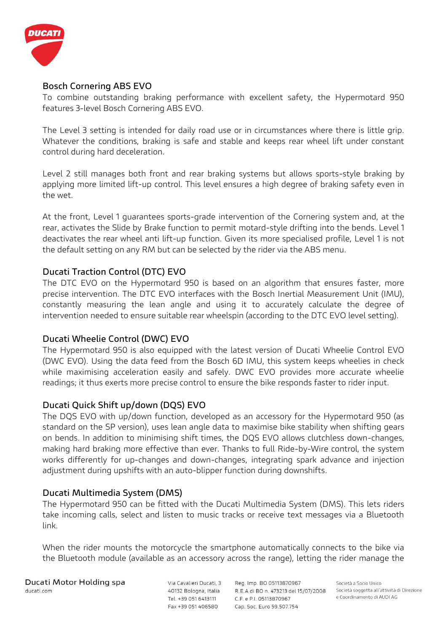

## **Bosch Cornering ABS EVO**

To combine outstanding braking performance with excellent safety, the Hypermotard 950 features 3-level Bosch Cornering ABS EVO.

The Level 3 setting is intended for daily road use or in circumstances where there is little grip. Whatever the conditions, braking is safe and stable and keeps rear wheel lift under constant control during hard deceleration.

Level 2 still manages both front and rear braking systems but allows sports-style braking by applying more limited lift-up control. This level ensures a high degree of braking safety even in the wet.

At the front, Level 1 guarantees sports-grade intervention of the Cornering system and, at the rear, activates the Slide by Brake function to permit motard-style drifting into the bends. Level 1 deactivates the rear wheel anti lift-up function. Given its more specialised profile, Level 1 is not the default setting on any RM but can be selected by the rider via the ABS menu.

## **Ducati Traction Control (DTC) EVO**

The DTC EVO on the Hypermotard 950 is based on an algorithm that ensures faster, more precise intervention. The DTC EVO interfaces with the Bosch Inertial Measurement Unit (IMU), constantly measuring the lean angle and using it to accurately calculate the degree of intervention needed to ensure suitable rear wheelspin (according to the DTC EVO level setting).

#### **Ducati Wheelie Control (DWC) EVO**

The Hypermotard 950 is also equipped with the latest version of Ducati Wheelie Control EVO (DWC EVO). Using the data feed from the Bosch 6D IMU, this system keeps wheelies in check while maximising acceleration easily and safely. DWC EVO provides more accurate wheelie readings; it thus exerts more precise control to ensure the bike responds faster to rider input.

## **Ducati Quick Shift up/down (DQS) EVO**

The DQS EVO with up/down function, developed as an accessory for the Hypermotard 950 (as standard on the SP version), uses lean angle data to maximise bike stability when shifting gears on bends. In addition to minimising shift times, the DQS EVO allows clutchless down-changes, making hard braking more effective than ever. Thanks to full Ride-by-Wire control, the system works differently for up-changes and down-changes, integrating spark advance and injection adjustment during upshifts with an auto-blipper function during downshifts.

#### **Ducati Multimedia System (DMS)**

The Hypermotard 950 can be fitted with the Ducati Multimedia System (DMS). This lets riders take incoming calls, select and listen to music tracks or receive text messages via a Bluetooth link.

When the rider mounts the motorcycle the smartphone automatically connects to the bike via the Bluetooth module (available as an accessory across the range), letting the rider manage the

Ducati Motor Holding spa ducati.com

Via Cavalieri Ducati, 3 40132 Bologna, Italia Tel. +39 051 6413111 Fax +39 051 406580

Reg. Imp. BO 05113870967 R.E.A di BO n. 473213 del 15/07/2008 C.F. e P.I. 05113870967 Cap. Soc. Euro 59.507.754